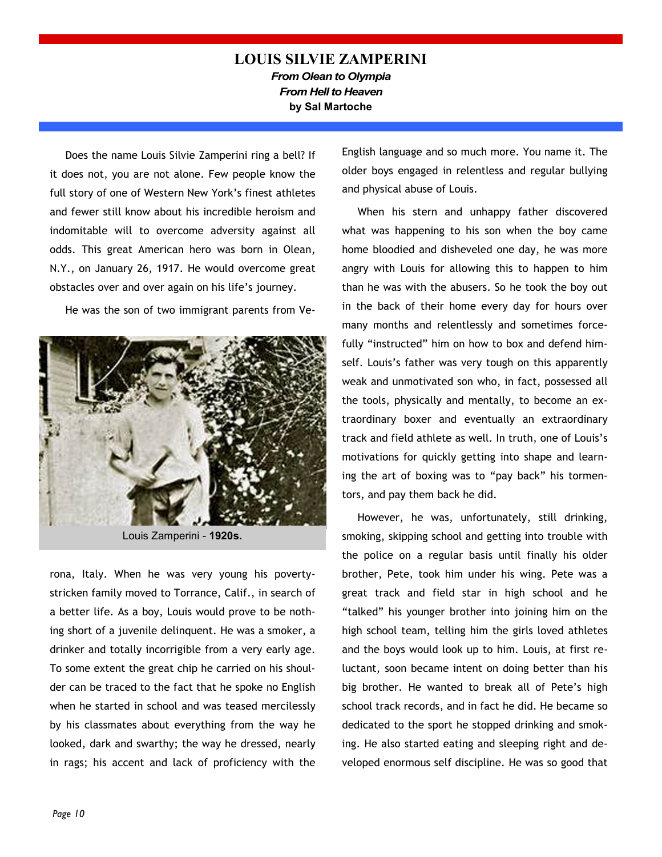## LOUIS SILVIE ZAMPERINI From Olean to Olympia From Hell to Heaven by Sal Martoche

Does the name Louis Silvie Zamperini ring a bell? If it does not, you are not alone. Few people know the full story of one of Western New York's finest athletes and fewer still know about his incredible heroism and indomitable will to overcome adversity against all odds. This great American hero was born in Olean, N.Y., on January 26, 1917. He would overcome great obstacles over and over again on his life's journey.

He was the son of two immigrant parents from Ve-



Louis Zamperini - 1920s.

rona, Italy. When he was very young his povertystricken family moved to Torrance, Calif., in search of a better life. As a boy, Louis would prove to be nothing short of a juvenile delinquent. He was a smoker, a drinker and totally incorrigible from a very early age. To some extent the great chip he carried on his shoulder can be traced to the fact that he spoke no English when he started in school and was teased mercilessly by his classmates about everything from the way he looked, dark and swarthy; the way he dressed, nearly in rags; his accent and lack of proficiency with the English language and so much more. You name it. The older boys engaged in relentless and regular bullying and physical abuse of Louis.

When his stern and unhappy father discovered what was happening to his son when the boy came home bloodied and disheveled one day, he was more angry with Louis for allowing this to happen to him than he was with the abusers. So he took the boy out in the back of their home every day for hours over many months and relentlessly and sometimes forcefully "instructed" him on how to box and defend himself. Louis's father was very tough on this apparently weak and unmotivated son who, in fact, possessed all the tools, physically and mentally, to become an extraordinary boxer and eventually an extraordinary track and field athlete as well. In truth, one of Louis's motivations for quickly getting into shape and learning the art of boxing was to "pay back" his tormentors, and pay them back he did.

However, he was, unfortunately, still drinking, smoking, skipping school and getting into trouble with the police on a regular basis until finally his older brother, Pete, took him under his wing. Pete was a great track and field star in high school and he "talked" his younger brother into joining him on the high school team, telling him the girls loved athletes and the boys would look up to him. Louis, at first reluctant, soon became intent on doing better than his big brother. He wanted to break all of Pete's high school track records, and in fact he did. He became so dedicated to the sport he stopped drinking and smoking. He also started eating and sleeping right and developed enormous self discipline. He was so good that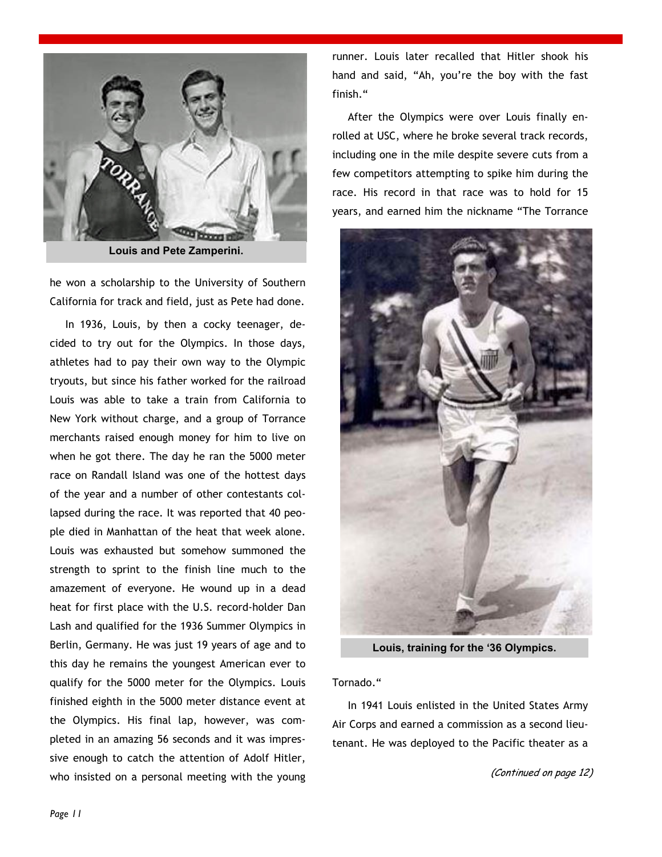

Louis and Pete Zamperini.

he won a scholarship to the University of Southern California for track and field, just as Pete had done.

In 1936, Louis, by then a cocky teenager, decided to try out for the Olympics. In those days, athletes had to pay their own way to the Olympic tryouts, but since his father worked for the railroad Louis was able to take a train from California to New York without charge, and a group of Torrance merchants raised enough money for him to live on when he got there. The day he ran the 5000 meter race on Randall Island was one of the hottest days of the year and a number of other contestants collapsed during the race. It was reported that 40 people died in Manhattan of the heat that week alone. Louis was exhausted but somehow summoned the strength to sprint to the finish line much to the amazement of everyone. He wound up in a dead heat for first place with the U.S. record-holder Dan Lash and qualified for the 1936 Summer Olympics in Berlin, Germany. He was just 19 years of age and to this day he remains the youngest American ever to qualify for the 5000 meter for the Olympics. Louis finished eighth in the 5000 meter distance event at the Olympics. His final lap, however, was completed in an amazing 56 seconds and it was impressive enough to catch the attention of Adolf Hitler, who insisted on a personal meeting with the young

runner. Louis later recalled that Hitler shook his hand and said, "Ah, you're the boy with the fast finish."

After the Olympics were over Louis finally enrolled at USC, where he broke several track records, including one in the mile despite severe cuts from a few competitors attempting to spike him during the race. His record in that race was to hold for 15 years, and earned him the nickname "The Torrance



Louis, training for the '36 Olympics.

Tornado."

In 1941 Louis enlisted in the United States Army Air Corps and earned a commission as a second lieutenant. He was deployed to the Pacific theater as a

(Continued on page 12)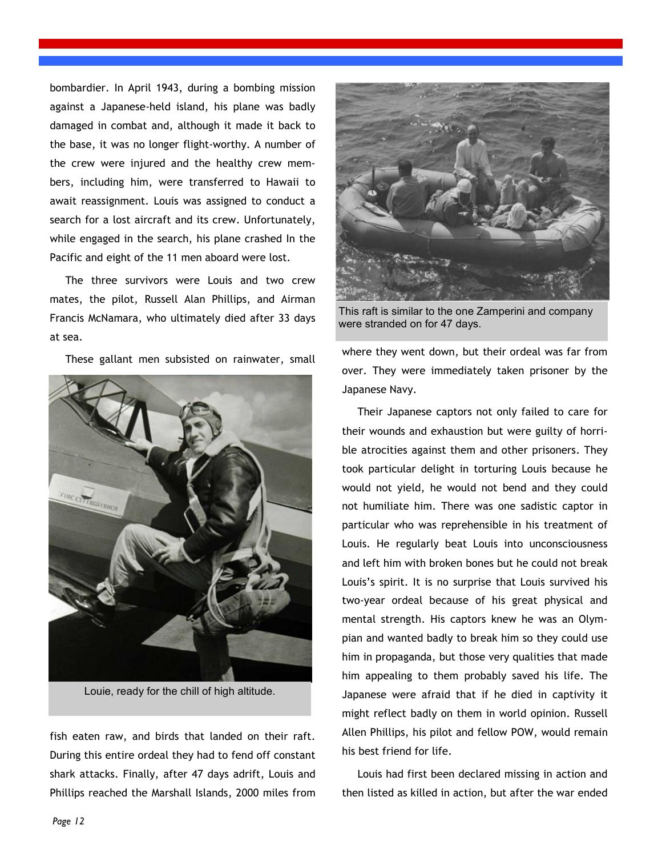bombardier. In April 1943, during a bombing mission against a Japanese-held island, his plane was badly damaged in combat and, although it made it back to the base, it was no longer flight-worthy. A number of the crew were injured and the healthy crew members, including him, were transferred to Hawaii to await reassignment. Louis was assigned to conduct a search for a lost aircraft and its crew. Unfortunately, while engaged in the search, his plane crashed In the Pacific and eight of the 11 men aboard were lost.

The three survivors were Louis and two crew mates, the pilot, Russell Alan Phillips, and Airman Francis McNamara, who ultimately died after 33 days at sea.

These gallant men subsisted on rainwater, small



Louie, ready for the chill of high altitude.

fish eaten raw, and birds that landed on their raft. During this entire ordeal they had to fend off constant shark attacks. Finally, after 47 days adrift, Louis and Phillips reached the Marshall Islands, 2000 miles from



This raft is similar to the one Zamperini and company were stranded on for 47 days.

where they went down, but their ordeal was far from over. They were immediately taken prisoner by the Japanese Navy.

Their Japanese captors not only failed to care for their wounds and exhaustion but were guilty of horrible atrocities against them and other prisoners. They took particular delight in torturing Louis because he would not yield, he would not bend and they could not humiliate him. There was one sadistic captor in particular who was reprehensible in his treatment of Louis. He regularly beat Louis into unconsciousness and left him with broken bones but he could not break Louis's spirit. It is no surprise that Louis survived his two-year ordeal because of his great physical and mental strength. His captors knew he was an Olympian and wanted badly to break him so they could use him in propaganda, but those very qualities that made him appealing to them probably saved his life. The Japanese were afraid that if he died in captivity it might reflect badly on them in world opinion. Russell Allen Phillips, his pilot and fellow POW, would remain his best friend for life.

Louis had first been declared missing in action and then listed as killed in action, but after the war ended